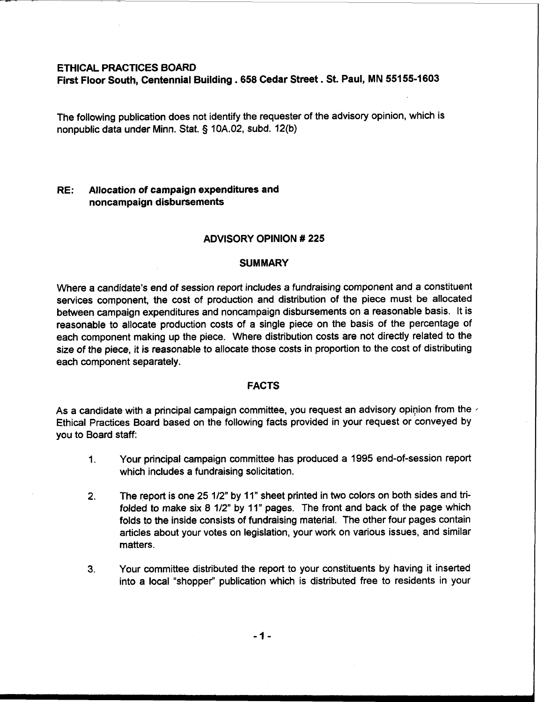# **ETHICAL PRACTICES BOARD**

**First Floor South, Centennial Building** . **658 Cedar Street** . **St. Paul, MN 551 55-1603** 

The following publication does not identify the requester of the advisory opinion, which is nonpublic data under Minn. Stat. **5** 10A.02, subd. 12(b)

# **RE: Allocation of campaign expenditures and noncampaign disbursements**

# **ADVISORY OPINION** # **225**

#### **SUMMARY**

Where a candidate's end of session report includes a fundraising component and a constituent services component, the cost of production and distribution of the piece must be allocated between campaign expenditures and noncampaign disbursements on a reasonable basis. It is reasonable to allocate production costs of a single piece on the basis of the percentage of each component making up the piece. Where distribution costs are not directly related to the size of the piece, it is reasonable to allocate those costs in proportion to the cost of distributing each component separately.

#### **FACTS**

As a candidate with a principal campaign committee, you request an advisory opinion from the Ethical Practices Board based on the following facts provided in your request or conveyed by you to Board staff:

- 1. Your principal campaign committee has produced a 1995 end-of-session report which includes a fundraising solicitation.
- **2.** The report is one 25 112" by 11" sheet printed in two colors on both sides and trifolded to make six  $8 \frac{1}{2}$ " by 11" pages. The front and back of the page which folds to the inside consists of fundraising material. The other four pages contain articles about your votes on legislation, your work on various issues, and similar matters.
- **3.** Your committee distributed the report to your constituents by having it inserted into a local "shopper" publication which is distributed free to residents in your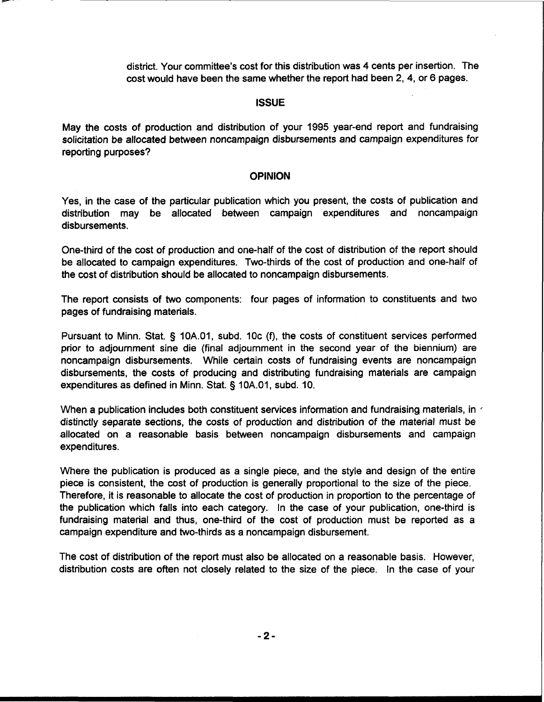district. Your committee's cost for this distribution was 4 cents per insertion. The cost would have been the same whether the report had been 2, 4, or 6 pages.

# **ISSUE**

May the costs of production and distribution of your 1995 year-end report and fundraising solicitation be allocated between noncampaign disbursements and campaign expenditures for reporting purposes?

# **OPINION**

Yes, in the case of the particular publication which you present, the costs of publication and distribution may be allocated between campaign expenditures and noncampaign disbursements.

One-third of the cost of production and one-half of the cost of distribution of the report should be allocated to campaign expenditures. Two-thirds of the cost of production and one-half of the cost of distribution should be allocated to noncampaign disbursements.

The report consists of two components: four pages of information to constituents and two pages of fundraising materials.

Pursuant to Minn. Stat. § 10A.O1, subd. 10c (f), the costs of constituent services performed prior to adjournment sine die (final adjournment in the second year of the biennium) are noncampaign disbursements. While certain costs of fundraising events are noncampaign disbursements, the costs of producing and distributing fundraising materials are campaign expenditures as defined in Minn. Stat. § 10A.01, subd. 10.

When a publication includes both constituent services information and fundraising materials, in  $\epsilon$ distinctly separate sections, the costs of production and distribution of the material must be allocated on a reasonable basis between noncampaign disbursements and campaign expenditures.

Where the publication is produced as a single piece, and the style and design of the entire piece is consistent, the cost of production is generally proportional to the size of the piece. Therefore, it is reasonable to allocate the cost of production in proportion to the percentage of the publication which falls into each category. In the case of your publication, one-third is fundraising material and thus, one-third of the cost of production must be reported as a campaign expenditure and two-thirds as a noncampaign disbursement.

The cost of distribution of the report must also be allocated on a reasonable basis. However, distribution costs are often not closely related to the size of the piece. In the case of your